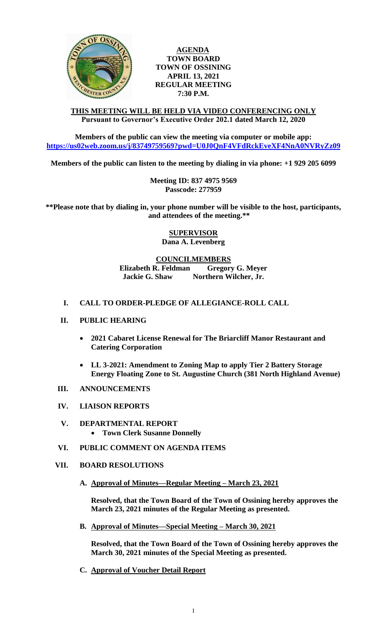

## **AGENDA TOWN BOARD TOWN OF OSSINING APRIL 13, 2021 REGULAR MEETING 7:30 P.M.**

#### **THIS MEETING WILL BE HELD VIA VIDEO CONFERENCING ONLY Pursuant to Governor's Executive Order 202.1 dated March 12, 2020**

**Members of the public can view the meeting via computer or mobile app: <https://us02web.zoom.us/j/83749759569?pwd=U0J0QnF4VFdRckEveXF4NnA0NVRyZz09>**

**Members of the public can listen to the meeting by dialing in via phone: +1 929 205 6099** 

**Meeting ID: 837 4975 9569 Passcode: 277959**

**\*\*Please note that by dialing in, your phone number will be visible to the host, participants, and attendees of the meeting.\*\*** 

> **SUPERVISOR Dana A. Levenberg**

# **COUNCILMEMBERS Elizabeth R. Feldman Gregory G. Meyer**

**Jackie G. Shaw Northern Wilcher, Jr.**

### **I. CALL TO ORDER-PLEDGE OF ALLEGIANCE-ROLL CALL**

### **II. PUBLIC HEARING**

- **2021 Cabaret License Renewal for The Briarcliff Manor Restaurant and Catering Corporation**
- **LL 3-2021: Amendment to Zoning Map to apply Tier 2 Battery Storage Energy Floating Zone to St. Augustine Church (381 North Highland Avenue)**
- **III. ANNOUNCEMENTS**
- **IV. LIAISON REPORTS**
- **V. DEPARTMENTAL REPORT Town Clerk Susanne Donnelly**
- **VI. PUBLIC COMMENT ON AGENDA ITEMS**
- **VII. BOARD RESOLUTIONS**
	- **A. Approval of Minutes—Regular Meeting – March 23, 2021**

**Resolved, that the Town Board of the Town of Ossining hereby approves the March 23, 2021 minutes of the Regular Meeting as presented.**

**B. Approval of Minutes—Special Meeting – March 30, 2021**

**Resolved, that the Town Board of the Town of Ossining hereby approves the March 30, 2021 minutes of the Special Meeting as presented.**

**C. Approval of Voucher Detail Report**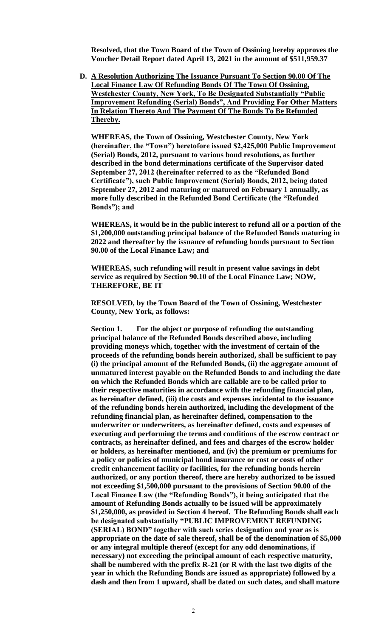**Resolved, that the Town Board of the Town of Ossining hereby approves the Voucher Detail Report dated April 13, 2021 in the amount of \$511,959.37**

**D. A Resolution Authorizing The Issuance Pursuant To Section 90.00 Of The Local Finance Law Of Refunding Bonds Of The Town Of Ossining, Westchester County, New York, To Be Designated Substantially "Public Improvement Refunding (Serial) Bonds", And Providing For Other Matters In Relation Thereto And The Payment Of The Bonds To Be Refunded Thereby.**

**WHEREAS, the Town of Ossining, Westchester County, New York (hereinafter, the "Town") heretofore issued \$2,425,000 Public Improvement (Serial) Bonds, 2012, pursuant to various bond resolutions, as further described in the bond determinations certificate of the Supervisor dated September 27, 2012 (hereinafter referred to as the "Refunded Bond Certificate"), such Public Improvement (Serial) Bonds, 2012, being dated September 27, 2012 and maturing or matured on February 1 annually, as more fully described in the Refunded Bond Certificate (the "Refunded Bonds"); and**

**WHEREAS, it would be in the public interest to refund all or a portion of the \$1,200,000 outstanding principal balance of the Refunded Bonds maturing in 2022 and thereafter by the issuance of refunding bonds pursuant to Section 90.00 of the Local Finance Law; and**

**WHEREAS, such refunding will result in present value savings in debt service as required by Section 90.10 of the Local Finance Law; NOW, THEREFORE, BE IT**

**RESOLVED, by the Town Board of the Town of Ossining, Westchester County, New York, as follows:**

**Section 1. For the object or purpose of refunding the outstanding principal balance of the Refunded Bonds described above, including providing moneys which, together with the investment of certain of the proceeds of the refunding bonds herein authorized, shall be sufficient to pay (i) the principal amount of the Refunded Bonds, (ii) the aggregate amount of unmatured interest payable on the Refunded Bonds to and including the date on which the Refunded Bonds which are callable are to be called prior to their respective maturities in accordance with the refunding financial plan, as hereinafter defined, (iii) the costs and expenses incidental to the issuance of the refunding bonds herein authorized, including the development of the refunding financial plan, as hereinafter defined, compensation to the underwriter or underwriters, as hereinafter defined, costs and expenses of executing and performing the terms and conditions of the escrow contract or contracts, as hereinafter defined, and fees and charges of the escrow holder or holders, as hereinafter mentioned, and (iv) the premium or premiums for a policy or policies of municipal bond insurance or cost or costs of other credit enhancement facility or facilities, for the refunding bonds herein authorized, or any portion thereof, there are hereby authorized to be issued not exceeding \$1,500,000 pursuant to the provisions of Section 90.00 of the Local Finance Law (the "Refunding Bonds"), it being anticipated that the amount of Refunding Bonds actually to be issued will be approximately \$1,250,000, as provided in Section 4 hereof. The Refunding Bonds shall each be designated substantially "PUBLIC IMPROVEMENT REFUNDING (SERIAL) BOND" together with such series designation and year as is appropriate on the date of sale thereof, shall be of the denomination of \$5,000 or any integral multiple thereof (except for any odd denominations, if necessary) not exceeding the principal amount of each respective maturity, shall be numbered with the prefix R-21 (or R with the last two digits of the year in which the Refunding Bonds are issued as appropriate) followed by a dash and then from 1 upward, shall be dated on such dates, and shall mature**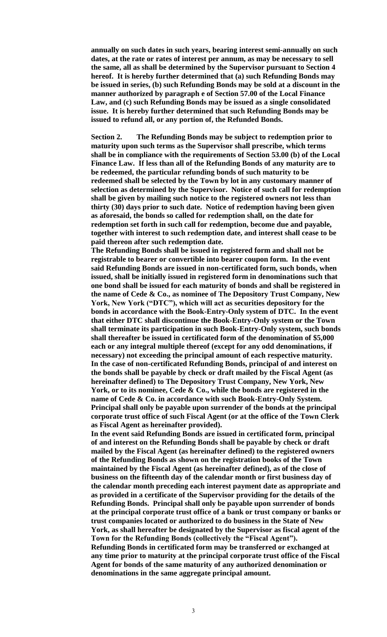**annually on such dates in such years, bearing interest semi-annually on such dates, at the rate or rates of interest per annum, as may be necessary to sell the same, all as shall be determined by the Supervisor pursuant to Section 4 hereof. It is hereby further determined that (a) such Refunding Bonds may be issued in series, (b) such Refunding Bonds may be sold at a discount in the manner authorized by paragraph e of Section 57.00 of the Local Finance Law, and (c) such Refunding Bonds may be issued as a single consolidated issue. It is hereby further determined that such Refunding Bonds may be issued to refund all, or any portion of, the Refunded Bonds.**

**Section 2. The Refunding Bonds may be subject to redemption prior to maturity upon such terms as the Supervisor shall prescribe, which terms shall be in compliance with the requirements of Section 53.00 (b) of the Local Finance Law. If less than all of the Refunding Bonds of any maturity are to be redeemed, the particular refunding bonds of such maturity to be redeemed shall be selected by the Town by lot in any customary manner of selection as determined by the Supervisor. Notice of such call for redemption shall be given by mailing such notice to the registered owners not less than thirty (30) days prior to such date. Notice of redemption having been given as aforesaid, the bonds so called for redemption shall, on the date for redemption set forth in such call for redemption, become due and payable, together with interest to such redemption date, and interest shall cease to be paid thereon after such redemption date.**

**The Refunding Bonds shall be issued in registered form and shall not be registrable to bearer or convertible into bearer coupon form. In the event said Refunding Bonds are issued in non-certificated form, such bonds, when issued, shall be initially issued in registered form in denominations such that one bond shall be issued for each maturity of bonds and shall be registered in the name of Cede & Co., as nominee of The Depository Trust Company, New York, New York ("DTC"), which will act as securities depository for the bonds in accordance with the Book-Entry-Only system of DTC. In the event that either DTC shall discontinue the Book-Entry-Only system or the Town shall terminate its participation in such Book-Entry-Only system, such bonds shall thereafter be issued in certificated form of the denomination of \$5,000 each or any integral multiple thereof (except for any odd denominations, if necessary) not exceeding the principal amount of each respective maturity. In the case of non-certificated Refunding Bonds, principal of and interest on the bonds shall be payable by check or draft mailed by the Fiscal Agent (as hereinafter defined) to The Depository Trust Company, New York, New York, or to its nominee, Cede & Co., while the bonds are registered in the name of Cede & Co. in accordance with such Book-Entry-Only System. Principal shall only be payable upon surrender of the bonds at the principal corporate trust office of such Fiscal Agent (or at the office of the Town Clerk as Fiscal Agent as hereinafter provided).**

**In the event said Refunding Bonds are issued in certificated form, principal of and interest on the Refunding Bonds shall be payable by check or draft mailed by the Fiscal Agent (as hereinafter defined) to the registered owners of the Refunding Bonds as shown on the registration books of the Town maintained by the Fiscal Agent (as hereinafter defined), as of the close of business on the fifteenth day of the calendar month or first business day of the calendar month preceding each interest payment date as appropriate and as provided in a certificate of the Supervisor providing for the details of the Refunding Bonds. Principal shall only be payable upon surrender of bonds at the principal corporate trust office of a bank or trust company or banks or trust companies located or authorized to do business in the State of New York, as shall hereafter be designated by the Supervisor as fiscal agent of the Town for the Refunding Bonds (collectively the "Fiscal Agent"). Refunding Bonds in certificated form may be transferred or exchanged at any time prior to maturity at the principal corporate trust office of the Fiscal Agent for bonds of the same maturity of any authorized denomination or denominations in the same aggregate principal amount.**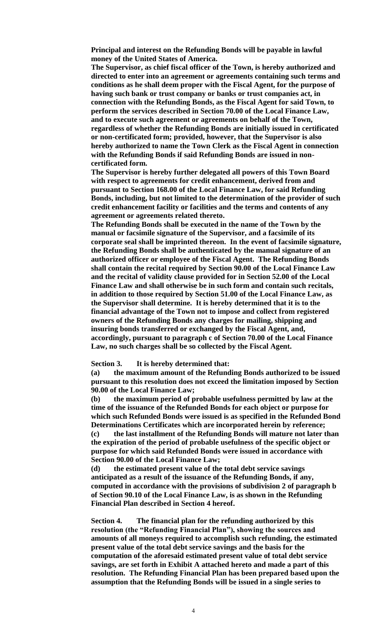**Principal and interest on the Refunding Bonds will be payable in lawful money of the United States of America.**

**The Supervisor, as chief fiscal officer of the Town, is hereby authorized and directed to enter into an agreement or agreements containing such terms and conditions as he shall deem proper with the Fiscal Agent, for the purpose of having such bank or trust company or banks or trust companies act, in connection with the Refunding Bonds, as the Fiscal Agent for said Town, to perform the services described in Section 70.00 of the Local Finance Law, and to execute such agreement or agreements on behalf of the Town, regardless of whether the Refunding Bonds are initially issued in certificated or non-certificated form; provided, however, that the Supervisor is also hereby authorized to name the Town Clerk as the Fiscal Agent in connection with the Refunding Bonds if said Refunding Bonds are issued in noncertificated form.**

**The Supervisor is hereby further delegated all powers of this Town Board with respect to agreements for credit enhancement, derived from and pursuant to Section 168.00 of the Local Finance Law, for said Refunding Bonds, including, but not limited to the determination of the provider of such credit enhancement facility or facilities and the terms and contents of any agreement or agreements related thereto.**

**The Refunding Bonds shall be executed in the name of the Town by the manual or facsimile signature of the Supervisor, and a facsimile of its corporate seal shall be imprinted thereon. In the event of facsimile signature, the Refunding Bonds shall be authenticated by the manual signature of an authorized officer or employee of the Fiscal Agent. The Refunding Bonds shall contain the recital required by Section 90.00 of the Local Finance Law and the recital of validity clause provided for in Section 52.00 of the Local Finance Law and shall otherwise be in such form and contain such recitals, in addition to those required by Section 51.00 of the Local Finance Law, as the Supervisor shall determine. It is hereby determined that it is to the financial advantage of the Town not to impose and collect from registered owners of the Refunding Bonds any charges for mailing, shipping and insuring bonds transferred or exchanged by the Fiscal Agent, and, accordingly, pursuant to paragraph c of Section 70.00 of the Local Finance Law, no such charges shall be so collected by the Fiscal Agent.**

**Section 3. It is hereby determined that:**

**(a) the maximum amount of the Refunding Bonds authorized to be issued pursuant to this resolution does not exceed the limitation imposed by Section 90.00 of the Local Finance Law;**

**(b) the maximum period of probable usefulness permitted by law at the time of the issuance of the Refunded Bonds for each object or purpose for which such Refunded Bonds were issued is as specified in the Refunded Bond Determinations Certificates which are incorporated herein by reference; (c) the last installment of the Refunding Bonds will mature not later than the expiration of the period of probable usefulness of the specific object or purpose for which said Refunded Bonds were issued in accordance with** 

**Section 90.00 of the Local Finance Law; (d) the estimated present value of the total debt service savings anticipated as a result of the issuance of the Refunding Bonds, if any, computed in accordance with the provisions of subdivision 2 of paragraph b of Section 90.10 of the Local Finance Law, is as shown in the Refunding Financial Plan described in Section 4 hereof.**

**Section 4. The financial plan for the refunding authorized by this resolution (the "Refunding Financial Plan"), showing the sources and amounts of all moneys required to accomplish such refunding, the estimated present value of the total debt service savings and the basis for the computation of the aforesaid estimated present value of total debt service savings, are set forth in Exhibit A attached hereto and made a part of this resolution. The Refunding Financial Plan has been prepared based upon the assumption that the Refunding Bonds will be issued in a single series to**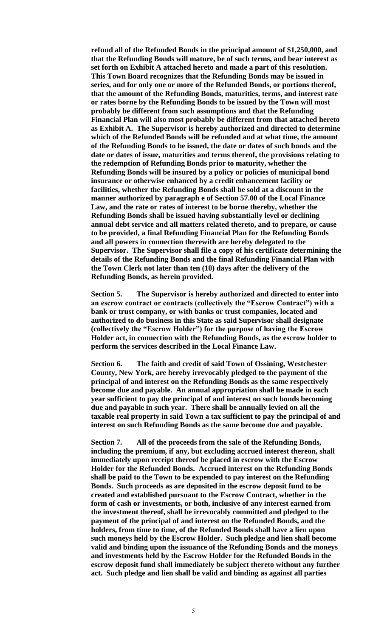**refund all of the Refunded Bonds in the principal amount of \$1,250,000, and that the Refunding Bonds will mature, be of such terms, and bear interest as set forth on Exhibit A attached hereto and made a part of this resolution. This Town Board recognizes that the Refunding Bonds may be issued in series, and for only one or more of the Refunded Bonds, or portions thereof, that the amount of the Refunding Bonds, maturities, terms, and interest rate or rates borne by the Refunding Bonds to be issued by the Town will most probably be different from such assumptions and that the Refunding Financial Plan will also most probably be different from that attached hereto as Exhibit A. The Supervisor is hereby authorized and directed to determine which of the Refunded Bonds will be refunded and at what time, the amount of the Refunding Bonds to be issued, the date or dates of such bonds and the date or dates of issue, maturities and terms thereof, the provisions relating to the redemption of Refunding Bonds prior to maturity, whether the Refunding Bonds will be insured by a policy or policies of municipal bond insurance or otherwise enhanced by a credit enhancement facility or facilities, whether the Refunding Bonds shall be sold at a discount in the manner authorized by paragraph e of Section 57.00 of the Local Finance Law, and the rate or rates of interest to be borne thereby, whether the Refunding Bonds shall be issued having substantially level or declining annual debt service and all matters related thereto, and to prepare, or cause to be provided, a final Refunding Financial Plan for the Refunding Bonds and all powers in connection therewith are hereby delegated to the Supervisor. The Supervisor shall file a copy of his certificate determining the details of the Refunding Bonds and the final Refunding Financial Plan with the Town Clerk not later than ten (10) days after the delivery of the Refunding Bonds, as herein provided.**

**Section 5. The Supervisor is hereby authorized and directed to enter into an escrow contract or contracts (collectively the "Escrow Contract") with a bank or trust company, or with banks or trust companies, located and authorized to do business in this State as said Supervisor shall designate (collectively the "Escrow Holder") for the purpose of having the Escrow Holder act, in connection with the Refunding Bonds, as the escrow holder to perform the services described in the Local Finance Law.**

**Section 6. The faith and credit of said Town of Ossining, Westchester County, New York, are hereby irrevocably pledged to the payment of the principal of and interest on the Refunding Bonds as the same respectively become due and payable. An annual appropriation shall be made in each year sufficient to pay the principal of and interest on such bonds becoming due and payable in such year. There shall be annually levied on all the taxable real property in said Town a tax sufficient to pay the principal of and interest on such Refunding Bonds as the same become due and payable.**

**Section 7. All of the proceeds from the sale of the Refunding Bonds, including the premium, if any, but excluding accrued interest thereon, shall immediately upon receipt thereof be placed in escrow with the Escrow Holder for the Refunded Bonds. Accrued interest on the Refunding Bonds shall be paid to the Town to be expended to pay interest on the Refunding Bonds. Such proceeds as are deposited in the escrow deposit fund to be created and established pursuant to the Escrow Contract, whether in the form of cash or investments, or both, inclusive of any interest earned from the investment thereof, shall be irrevocably committed and pledged to the payment of the principal of and interest on the Refunded Bonds, and the holders, from time to time, of the Refunded Bonds shall have a lien upon such moneys held by the Escrow Holder. Such pledge and lien shall become valid and binding upon the issuance of the Refunding Bonds and the moneys and investments held by the Escrow Holder for the Refunded Bonds in the escrow deposit fund shall immediately be subject thereto without any further act. Such pledge and lien shall be valid and binding as against all parties**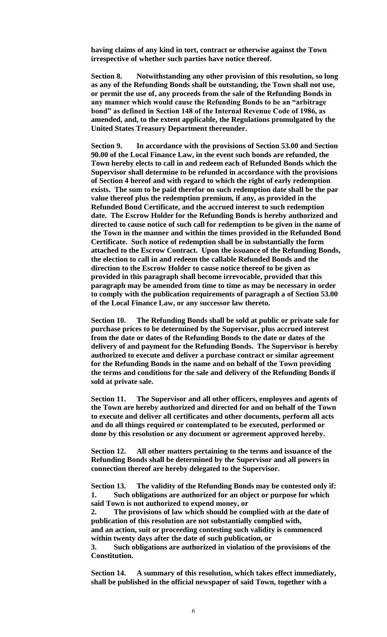**having claims of any kind in tort, contract or otherwise against the Town irrespective of whether such parties have notice thereof.**

**Section 8. Notwithstanding any other provision of this resolution, so long as any of the Refunding Bonds shall be outstanding, the Town shall not use, or permit the use of, any proceeds from the sale of the Refunding Bonds in any manner which would cause the Refunding Bonds to be an "arbitrage bond" as defined in Section 148 of the Internal Revenue Code of 1986, as amended, and, to the extent applicable, the Regulations promulgated by the United States Treasury Department thereunder.**

**Section 9. In accordance with the provisions of Section 53.00 and Section 90.00 of the Local Finance Law, in the event such bonds are refunded, the Town hereby elects to call in and redeem each of Refunded Bonds which the Supervisor shall determine to be refunded in accordance with the provisions of Section 4 hereof and with regard to which the right of early redemption exists. The sum to be paid therefor on such redemption date shall be the par value thereof plus the redemption premium, if any, as provided in the Refunded Bond Certificate, and the accrued interest to such redemption date. The Escrow Holder for the Refunding Bonds is hereby authorized and directed to cause notice of such call for redemption to be given in the name of the Town in the manner and within the times provided in the Refunded Bond Certificate. Such notice of redemption shall be in substantially the form attached to the Escrow Contract. Upon the issuance of the Refunding Bonds, the election to call in and redeem the callable Refunded Bonds and the direction to the Escrow Holder to cause notice thereof to be given as provided in this paragraph shall become irrevocable, provided that this paragraph may be amended from time to time as may be necessary in order to comply with the publication requirements of paragraph a of Section 53.00 of the Local Finance Law, or any successor law thereto.**

**Section 10. The Refunding Bonds shall be sold at public or private sale for purchase prices to be determined by the Supervisor, plus accrued interest from the date or dates of the Refunding Bonds to the date or dates of the delivery of and payment for the Refunding Bonds. The Supervisor is hereby authorized to execute and deliver a purchase contract or similar agreement for the Refunding Bonds in the name and on behalf of the Town providing the terms and conditions for the sale and delivery of the Refunding Bonds if sold at private sale.** 

**Section 11. The Supervisor and all other officers, employees and agents of the Town are hereby authorized and directed for and on behalf of the Town to execute and deliver all certificates and other documents, perform all acts and do all things required or contemplated to be executed, performed or done by this resolution or any document or agreement approved hereby.**

**Section 12. All other matters pertaining to the terms and issuance of the Refunding Bonds shall be determined by the Supervisor and all powers in connection thereof are hereby delegated to the Supervisor.**

**Section 13. The validity of the Refunding Bonds may be contested only if: 1. Such obligations are authorized for an object or purpose for which said Town is not authorized to expend money, or**

**2. The provisions of law which should be complied with at the date of publication of this resolution are not substantially complied with, and an action, suit or proceeding contesting such validity is commenced within twenty days after the date of such publication, or**

**3. Such obligations are authorized in violation of the provisions of the Constitution.**

**Section 14. A summary of this resolution, which takes effect immediately, shall be published in the official newspaper of said Town, together with a**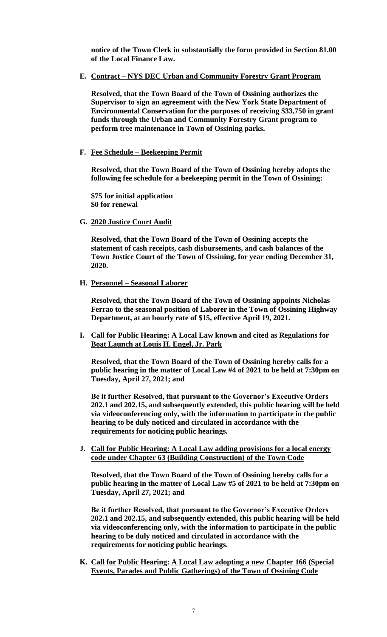**notice of the Town Clerk in substantially the form provided in Section 81.00 of the Local Finance Law.**

**E. Contract – NYS DEC Urban and Community Forestry Grant Program**

**Resolved, that the Town Board of the Town of Ossining authorizes the Supervisor to sign an agreement with the New York State Department of Environmental Conservation for the purposes of receiving \$33,750 in grant funds through the Urban and Community Forestry Grant program to perform tree maintenance in Town of Ossining parks.** 

**F. Fee Schedule – Beekeeping Permit**

**Resolved, that the Town Board of the Town of Ossining hereby adopts the following fee schedule for a beekeeping permit in the Town of Ossining:**

**\$75 for initial application \$0 for renewal**

**G. 2020 Justice Court Audit**

**Resolved, that the Town Board of the Town of Ossining accepts the statement of cash receipts, cash disbursements, and cash balances of the Town Justice Court of the Town of Ossining, for year ending December 31, 2020.** 

**H. Personnel – Seasonal Laborer**

**Resolved, that the Town Board of the Town of Ossining appoints Nicholas Ferrao to the seasonal position of Laborer in the Town of Ossining Highway Department, at an hourly rate of \$15, effective April 19, 2021.** 

**I. Call for Public Hearing: A Local Law known and cited as Regulations for Boat Launch at Louis H. Engel, Jr. Park**

**Resolved, that the Town Board of the Town of Ossining hereby calls for a public hearing in the matter of Local Law #4 of 2021 to be held at 7:30pm on Tuesday, April 27, 2021; and** 

**Be it further Resolved, that pursuant to the Governor's Executive Orders 202.1 and 202.15, and subsequently extended, this public hearing will be held via videoconferencing only, with the information to participate in the public hearing to be duly noticed and circulated in accordance with the requirements for noticing public hearings.** 

**J. Call for Public Hearing: A Local Law adding provisions for a local energy code under Chapter 63 (Building Construction) of the Town Code**

**Resolved, that the Town Board of the Town of Ossining hereby calls for a public hearing in the matter of Local Law #5 of 2021 to be held at 7:30pm on Tuesday, April 27, 2021; and** 

**Be it further Resolved, that pursuant to the Governor's Executive Orders 202.1 and 202.15, and subsequently extended, this public hearing will be held via videoconferencing only, with the information to participate in the public hearing to be duly noticed and circulated in accordance with the requirements for noticing public hearings.** 

**K. Call for Public Hearing: A Local Law adopting a new Chapter 166 (Special Events, Parades and Public Gatherings) of the Town of Ossining Code**